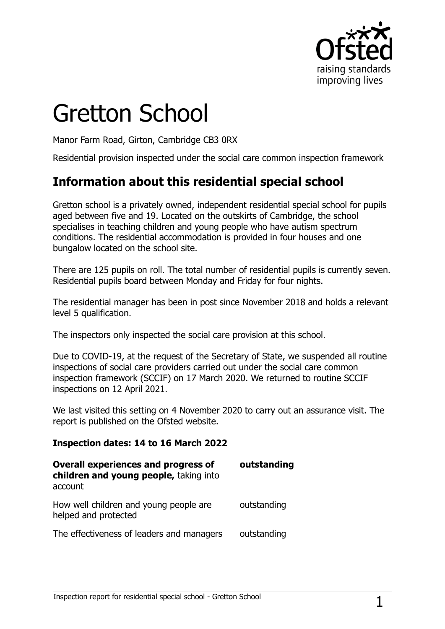

# Gretton School

Manor Farm Road, Girton, Cambridge CB3 0RX

Residential provision inspected under the social care common inspection framework

# **Information about this residential special school**

Gretton school is a privately owned, independent residential special school for pupils aged between five and 19. Located on the outskirts of Cambridge, the school specialises in teaching children and young people who have autism spectrum conditions. The residential accommodation is provided in four houses and one bungalow located on the school site.

There are 125 pupils on roll. The total number of residential pupils is currently seven. Residential pupils board between Monday and Friday for four nights.

The residential manager has been in post since November 2018 and holds a relevant level 5 qualification.

The inspectors only inspected the social care provision at this school.

Due to COVID-19, at the request of the Secretary of State, we suspended all routine inspections of social care providers carried out under the social care common inspection framework (SCCIF) on 17 March 2020. We returned to routine SCCIF inspections on 12 April 2021.

We last visited this setting on 4 November 2020 to carry out an assurance visit. The report is published on the Ofsted website.

#### **Inspection dates: 14 to 16 March 2022**

| <b>Overall experiences and progress of</b><br>children and young people, taking into<br>account | outstanding |
|-------------------------------------------------------------------------------------------------|-------------|
| How well children and young people are<br>helped and protected                                  | outstanding |
| The effectiveness of leaders and managers                                                       | outstanding |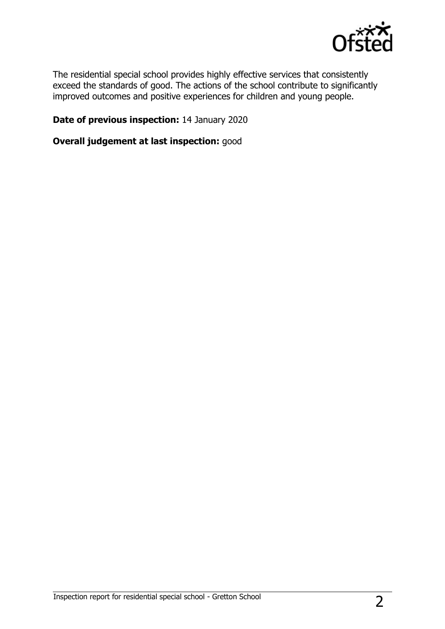

The residential special school provides highly effective services that consistently exceed the standards of good. The actions of the school contribute to significantly improved outcomes and positive experiences for children and young people.

#### **Date of previous inspection:** 14 January 2020

**Overall judgement at last inspection:** good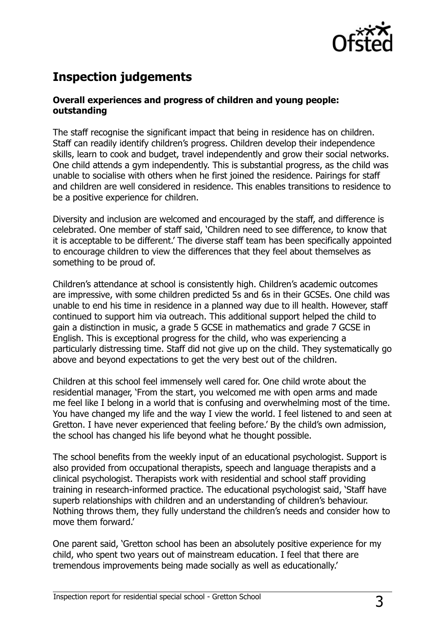

## **Inspection judgements**

#### **Overall experiences and progress of children and young people: outstanding**

The staff recognise the significant impact that being in residence has on children. Staff can readily identify children's progress. Children develop their independence skills, learn to cook and budget, travel independently and grow their social networks. One child attends a gym independently. This is substantial progress, as the child was unable to socialise with others when he first joined the residence. Pairings for staff and children are well considered in residence. This enables transitions to residence to be a positive experience for children.

Diversity and inclusion are welcomed and encouraged by the staff, and difference is celebrated. One member of staff said, 'Children need to see difference, to know that it is acceptable to be different.' The diverse staff team has been specifically appointed to encourage children to view the differences that they feel about themselves as something to be proud of.

Children's attendance at school is consistently high. Children's academic outcomes are impressive, with some children predicted 5s and 6s in their GCSEs. One child was unable to end his time in residence in a planned way due to ill health. However, staff continued to support him via outreach. This additional support helped the child to gain a distinction in music, a grade 5 GCSE in mathematics and grade 7 GCSE in English. This is exceptional progress for the child, who was experiencing a particularly distressing time. Staff did not give up on the child. They systematically go above and beyond expectations to get the very best out of the children.

Children at this school feel immensely well cared for. One child wrote about the residential manager, 'From the start, you welcomed me with open arms and made me feel like I belong in a world that is confusing and overwhelming most of the time. You have changed my life and the way I view the world. I feel listened to and seen at Gretton. I have never experienced that feeling before.' By the child's own admission, the school has changed his life beyond what he thought possible.

The school benefits from the weekly input of an educational psychologist. Support is also provided from occupational therapists, speech and language therapists and a clinical psychologist. Therapists work with residential and school staff providing training in research-informed practice. The educational psychologist said, 'Staff have superb relationships with children and an understanding of children's behaviour. Nothing throws them, they fully understand the children's needs and consider how to move them forward.'

One parent said, 'Gretton school has been an absolutely positive experience for my child, who spent two years out of mainstream education. I feel that there are tremendous improvements being made socially as well as educationally.'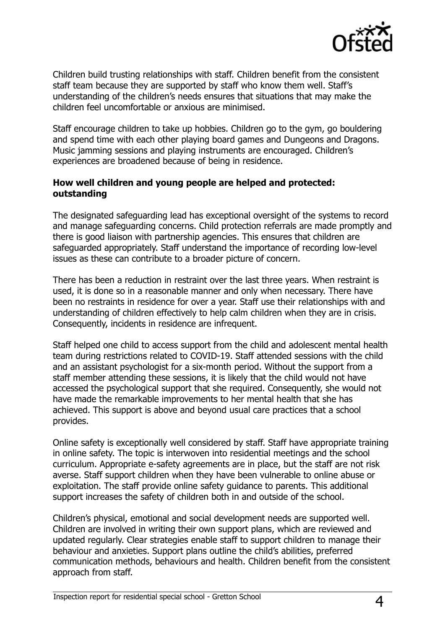

Children build trusting relationships with staff. Children benefit from the consistent staff team because they are supported by staff who know them well. Staff's understanding of the children's needs ensures that situations that may make the children feel uncomfortable or anxious are minimised.

Staff encourage children to take up hobbies. Children go to the gym, go bouldering and spend time with each other playing board games and Dungeons and Dragons. Music jamming sessions and playing instruments are encouraged. Children's experiences are broadened because of being in residence.

#### **How well children and young people are helped and protected: outstanding**

The designated safeguarding lead has exceptional oversight of the systems to record and manage safeguarding concerns. Child protection referrals are made promptly and there is good liaison with partnership agencies. This ensures that children are safeguarded appropriately. Staff understand the importance of recording low-level issues as these can contribute to a broader picture of concern.

There has been a reduction in restraint over the last three years. When restraint is used, it is done so in a reasonable manner and only when necessary. There have been no restraints in residence for over a year. Staff use their relationships with and understanding of children effectively to help calm children when they are in crisis. Consequently, incidents in residence are infrequent.

Staff helped one child to access support from the child and adolescent mental health team during restrictions related to COVID-19. Staff attended sessions with the child and an assistant psychologist for a six-month period. Without the support from a staff member attending these sessions, it is likely that the child would not have accessed the psychological support that she required. Consequently, she would not have made the remarkable improvements to her mental health that she has achieved. This support is above and beyond usual care practices that a school provides.

Online safety is exceptionally well considered by staff. Staff have appropriate training in online safety. The topic is interwoven into residential meetings and the school curriculum. Appropriate e-safety agreements are in place, but the staff are not risk averse. Staff support children when they have been vulnerable to online abuse or exploitation. The staff provide online safety guidance to parents. This additional support increases the safety of children both in and outside of the school.

Children's physical, emotional and social development needs are supported well. Children are involved in writing their own support plans, which are reviewed and updated regularly. Clear strategies enable staff to support children to manage their behaviour and anxieties. Support plans outline the child's abilities, preferred communication methods, behaviours and health. Children benefit from the consistent approach from staff.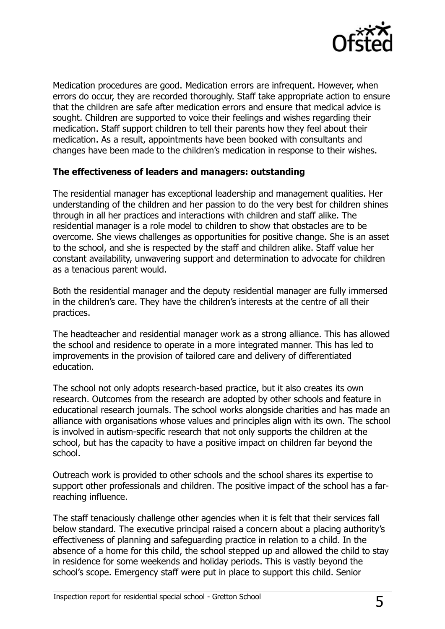

Medication procedures are good. Medication errors are infrequent. However, when errors do occur, they are recorded thoroughly. Staff take appropriate action to ensure that the children are safe after medication errors and ensure that medical advice is sought. Children are supported to voice their feelings and wishes regarding their medication. Staff support children to tell their parents how they feel about their medication. As a result, appointments have been booked with consultants and changes have been made to the children's medication in response to their wishes.

#### **The effectiveness of leaders and managers: outstanding**

The residential manager has exceptional leadership and management qualities. Her understanding of the children and her passion to do the very best for children shines through in all her practices and interactions with children and staff alike. The residential manager is a role model to children to show that obstacles are to be overcome. She views challenges as opportunities for positive change. She is an asset to the school, and she is respected by the staff and children alike. Staff value her constant availability, unwavering support and determination to advocate for children as a tenacious parent would.

Both the residential manager and the deputy residential manager are fully immersed in the children's care. They have the children's interests at the centre of all their practices.

The headteacher and residential manager work as a strong alliance. This has allowed the school and residence to operate in a more integrated manner. This has led to improvements in the provision of tailored care and delivery of differentiated education.

The school not only adopts research-based practice, but it also creates its own research. Outcomes from the research are adopted by other schools and feature in educational research journals. The school works alongside charities and has made an alliance with organisations whose values and principles align with its own. The school is involved in autism-specific research that not only supports the children at the school, but has the capacity to have a positive impact on children far beyond the school.

Outreach work is provided to other schools and the school shares its expertise to support other professionals and children. The positive impact of the school has a farreaching influence.

The staff tenaciously challenge other agencies when it is felt that their services fall below standard. The executive principal raised a concern about a placing authority's effectiveness of planning and safeguarding practice in relation to a child. In the absence of a home for this child, the school stepped up and allowed the child to stay in residence for some weekends and holiday periods. This is vastly beyond the school's scope. Emergency staff were put in place to support this child. Senior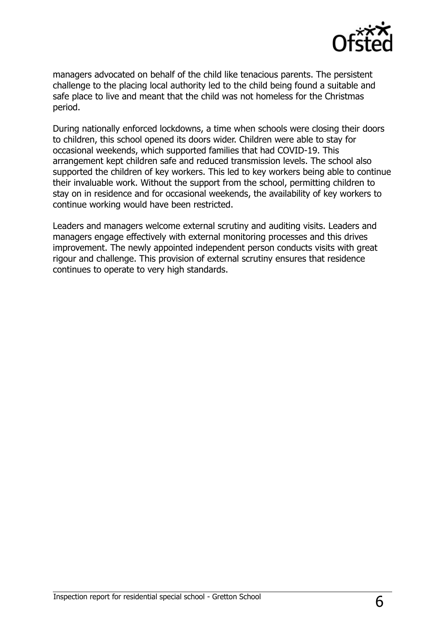

managers advocated on behalf of the child like tenacious parents. The persistent challenge to the placing local authority led to the child being found a suitable and safe place to live and meant that the child was not homeless for the Christmas period.

During nationally enforced lockdowns, a time when schools were closing their doors to children, this school opened its doors wider. Children were able to stay for occasional weekends, which supported families that had COVID-19. This arrangement kept children safe and reduced transmission levels. The school also supported the children of key workers. This led to key workers being able to continue their invaluable work. Without the support from the school, permitting children to stay on in residence and for occasional weekends, the availability of key workers to continue working would have been restricted.

Leaders and managers welcome external scrutiny and auditing visits. Leaders and managers engage effectively with external monitoring processes and this drives improvement. The newly appointed independent person conducts visits with great rigour and challenge. This provision of external scrutiny ensures that residence continues to operate to very high standards.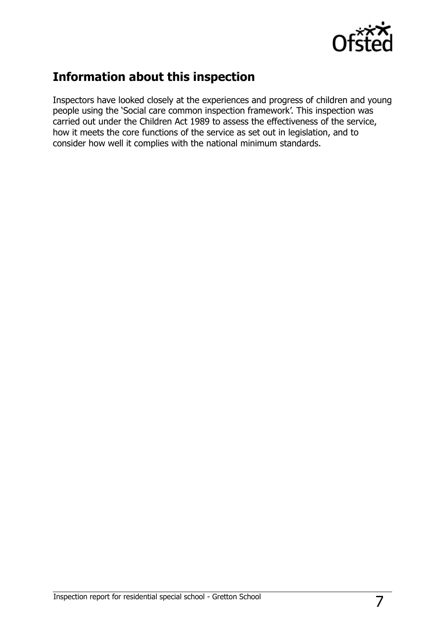

## **Information about this inspection**

Inspectors have looked closely at the experiences and progress of children and young people using the 'Social care common inspection framework'. This inspection was carried out under the Children Act 1989 to assess the effectiveness of the service, how it meets the core functions of the service as set out in legislation, and to consider how well it complies with the national minimum standards.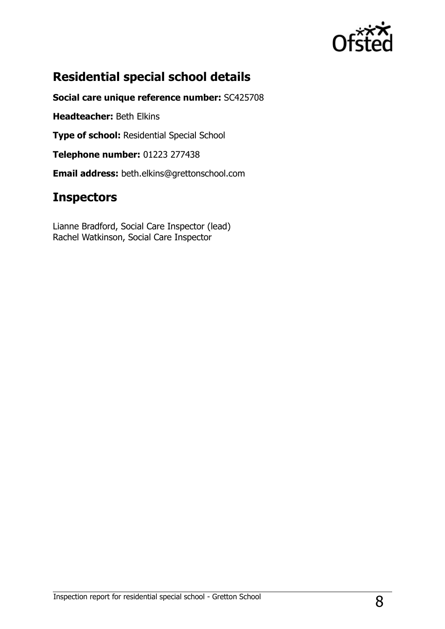

# **Residential special school details**

**Social care unique reference number:** SC425708

**Headteacher:** Beth Elkins

**Type of school:** Residential Special School

**Telephone number:** 01223 277438

**Email address:** beth.elkins@grettonschool.com

## **Inspectors**

Lianne Bradford, Social Care Inspector (lead) Rachel Watkinson, Social Care Inspector